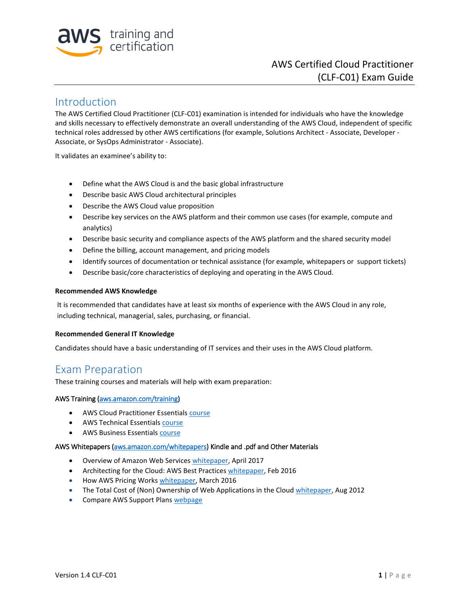

# Introduction

The AWS Certified Cloud Practitioner (CLF-C01) examination is intended for individuals who have the knowledge and skills necessary to effectively demonstrate an overall understanding of the AWS Cloud, independent of specific technical roles addressed by other AWS certifications (for example, Solutions Architect - Associate, Developer - Associate, or SysOps Administrator - Associate).

It validates an examinee's ability to:

- Define what the AWS Cloud is and the basic global infrastructure
- Describe basic AWS Cloud architectural principles
- Describe the AWS Cloud value proposition
- Describe key services on the AWS platform and their common use cases (for example, compute and analytics)
- Describe basic security and compliance aspects of the AWS platform and the shared security model
- Define the billing, account management, and pricing models
- Identify sources of documentation or technical assistance (for example, whitepapers or support tickets)
- Describe basic/core characteristics of deploying and operating in the AWS Cloud.

#### **Recommended AWS Knowledge**

It is recommended that candidates have at least six months of experience with the AWS Cloud in any role, including technical, managerial, sales, purchasing, or financial.

#### **Recommended General IT Knowledge**

Candidates should have a basic understanding of IT services and their uses in the AWS Cloud platform.

# Exam Preparation

These training courses and materials will help with exam preparation:

#### AWS Training [\(aws.amazon.com/training\)](http://aws.amazon.com/training)

- AWS Cloud Practitioner Essentials [course](https://aws.amazon.com/training/course-descriptions/cloud-practitioner-essentials/)
- AWS Technical Essentials [course](https://aws.amazon.com/training/course-descriptions/essentials/)
- AWS Business Essential[s course](https://aws.amazon.com/training/course-descriptions/business-essentials/)

#### AWS Whitepapers [\(aws.amazon.com/whitepapers\)](http://aws.amazon.com/whitepapers/) Kindle and .pdf and Other Materials

- Overview of Amazon Web Services [whitepaper,](https://d0.awsstatic.com/whitepapers/aws-overview.pdf) April 2017
- Architecting for the Cloud: AWS Best Practices [whitepaper,](https://d0.awsstatic.com/whitepapers/AWS_Cloud_Best_Practices.pdf) Feb 2016
- How AWS Pricing Work[s whitepaper,](https://d0.awsstatic.com/whitepapers/aws_pricing_overview.pdf) March 2016
- The Total Cost of (Non) Ownership of Web Applications in the Cloud [whitepaper,](https://d1.awsstatic.com/whitepapers/aws-tco-web-applications.pdf) Aug 2012
- Compare AWS Support Plans [webpage](https://aws.amazon.com/premiumsupport/compare-plans/)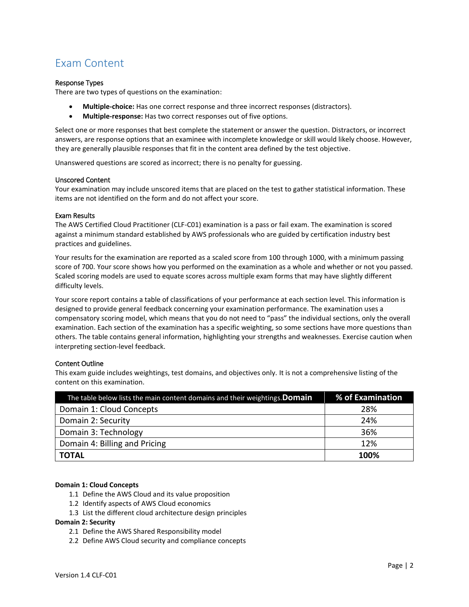# Exam Content

#### Response Types

There are two types of questions on the examination:

- **Multiple-choice:** Has one correct response and three incorrect responses (distractors).
- **Multiple-response:** Has two correct responses out of five options.

Select one or more responses that best complete the statement or answer the question. Distractors, or incorrect answers, are response options that an examinee with incomplete knowledge or skill would likely choose. However, they are generally plausible responses that fit in the content area defined by the test objective.

Unanswered questions are scored as incorrect; there is no penalty for guessing.

#### Unscored Content

Your examination may include unscored items that are placed on the test to gather statistical information. These items are not identified on the form and do not affect your score.

#### Exam Results

The AWS Certified Cloud Practitioner (CLF-C01) examination is a pass or fail exam. The examination is scored against a minimum standard established by AWS professionals who are guided by certification industry best practices and guidelines.

Your results for the examination are reported as a scaled score from 100 through 1000, with a minimum passing score of 700. Your score shows how you performed on the examination as a whole and whether or not you passed. Scaled scoring models are used to equate scores across multiple exam forms that may have slightly different difficulty levels.

Your score report contains a table of classifications of your performance at each section level. This information is designed to provide general feedback concerning your examination performance. The examination uses a compensatory scoring model, which means that you do not need to "pass" the individual sections, only the overall examination. Each section of the examination has a specific weighting, so some sections have more questions than others. The table contains general information, highlighting your strengths and weaknesses. Exercise caution when interpreting section-level feedback.

#### Content Outline

This exam guide includes weightings, test domains, and objectives only. It is not a comprehensive listing of the content on this examination.

| The table below lists the main content domains and their weightings. Domain | % of Examination |
|-----------------------------------------------------------------------------|------------------|
| Domain 1: Cloud Concepts                                                    | 28%              |
| Domain 2: Security                                                          | 24%              |
| Domain 3: Technology                                                        | 36%              |
| Domain 4: Billing and Pricing                                               | 12%              |
| <b>TOTAL</b>                                                                | 100%             |

#### **Domain 1: Cloud Concepts**

- 1.1 Define the AWS Cloud and its value proposition
- 1.2 Identify aspects of AWS Cloud economics
- 1.3 List the different cloud architecture design principles

#### **Domain 2: Security**

- 2.1 Define the AWS Shared Responsibility model
- 2.2 Define AWS Cloud security and compliance concepts